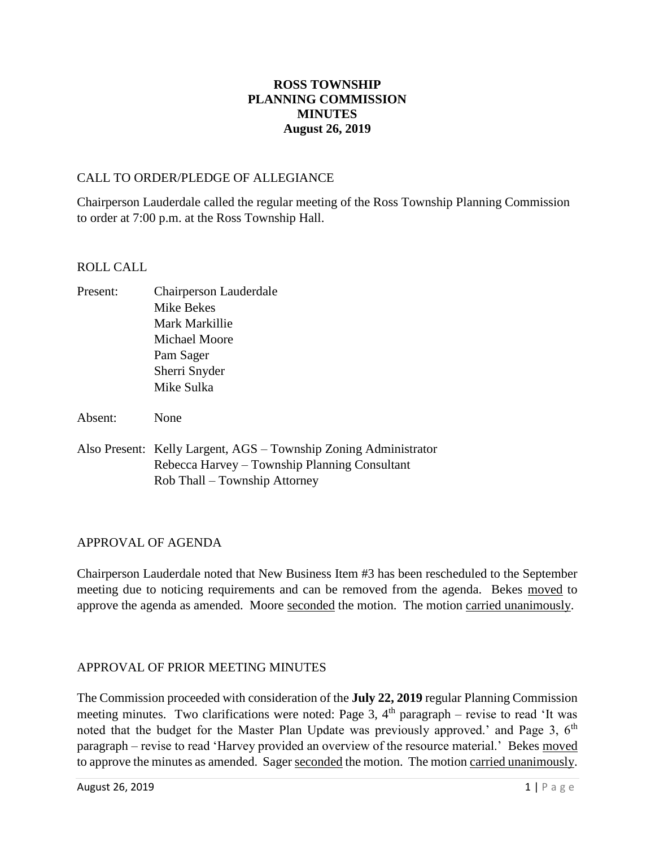# **ROSS TOWNSHIP PLANNING COMMISSION MINUTES August 26, 2019**

# CALL TO ORDER/PLEDGE OF ALLEGIANCE

Chairperson Lauderdale called the regular meeting of the Ross Township Planning Commission to order at 7:00 p.m. at the Ross Township Hall.

# ROLL CALL

- Present: Chairperson Lauderdale Mike Bekes Mark Markillie Michael Moore Pam Sager Sherri Snyder Mike Sulka
- Absent: None
- Also Present: Kelly Largent, AGS Township Zoning Administrator Rebecca Harvey – Township Planning Consultant Rob Thall – Township Attorney

# APPROVAL OF AGENDA

Chairperson Lauderdale noted that New Business Item #3 has been rescheduled to the September meeting due to noticing requirements and can be removed from the agenda. Bekes moved to approve the agenda as amended. Moore seconded the motion. The motion carried unanimously.

# APPROVAL OF PRIOR MEETING MINUTES

The Commission proceeded with consideration of the **July 22, 2019** regular Planning Commission meeting minutes. Two clarifications were noted: Page 3,  $4<sup>th</sup>$  paragraph – revise to read 'It was noted that the budget for the Master Plan Update was previously approved.' and Page 3, 6<sup>th</sup> paragraph – revise to read 'Harvey provided an overview of the resource material.' Bekes moved to approve the minutes as amended. Sager seconded the motion. The motion carried unanimously.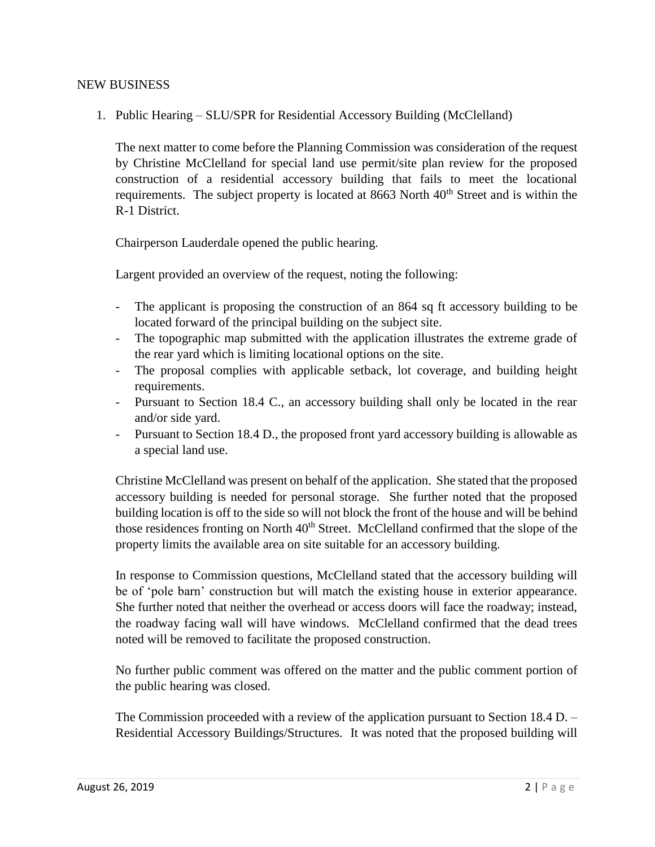# NEW BUSINESS

1. Public Hearing – SLU/SPR for Residential Accessory Building (McClelland)

The next matter to come before the Planning Commission was consideration of the request by Christine McClelland for special land use permit/site plan review for the proposed construction of a residential accessory building that fails to meet the locational requirements. The subject property is located at 8663 North 40<sup>th</sup> Street and is within the R-1 District.

Chairperson Lauderdale opened the public hearing.

Largent provided an overview of the request, noting the following:

- The applicant is proposing the construction of an 864 sq ft accessory building to be located forward of the principal building on the subject site.
- The topographic map submitted with the application illustrates the extreme grade of the rear yard which is limiting locational options on the site.
- The proposal complies with applicable setback, lot coverage, and building height requirements.
- Pursuant to Section 18.4 C., an accessory building shall only be located in the rear and/or side yard.
- Pursuant to Section 18.4 D., the proposed front yard accessory building is allowable as a special land use.

Christine McClelland was present on behalf of the application. She stated that the proposed accessory building is needed for personal storage. She further noted that the proposed building location is off to the side so will not block the front of the house and will be behind those residences fronting on North  $40<sup>th</sup>$  Street. McClelland confirmed that the slope of the property limits the available area on site suitable for an accessory building.

In response to Commission questions, McClelland stated that the accessory building will be of 'pole barn' construction but will match the existing house in exterior appearance. She further noted that neither the overhead or access doors will face the roadway; instead, the roadway facing wall will have windows. McClelland confirmed that the dead trees noted will be removed to facilitate the proposed construction.

No further public comment was offered on the matter and the public comment portion of the public hearing was closed.

The Commission proceeded with a review of the application pursuant to Section 18.4 D. – Residential Accessory Buildings/Structures. It was noted that the proposed building will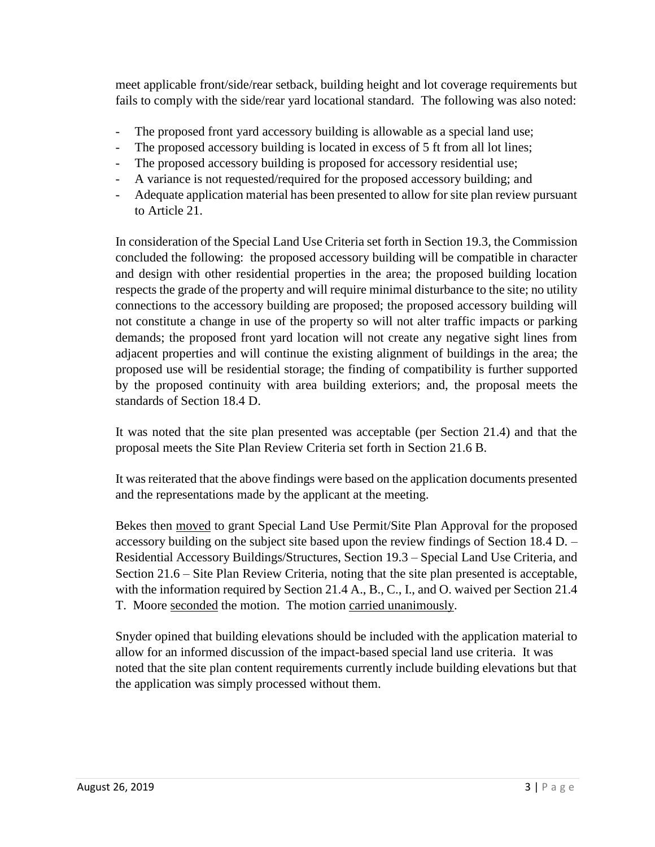meet applicable front/side/rear setback, building height and lot coverage requirements but fails to comply with the side/rear yard locational standard. The following was also noted:

- The proposed front yard accessory building is allowable as a special land use;
- The proposed accessory building is located in excess of 5 ft from all lot lines;
- The proposed accessory building is proposed for accessory residential use;
- A variance is not requested/required for the proposed accessory building; and
- Adequate application material has been presented to allow for site plan review pursuant to Article 21.

In consideration of the Special Land Use Criteria set forth in Section 19.3, the Commission concluded the following: the proposed accessory building will be compatible in character and design with other residential properties in the area; the proposed building location respects the grade of the property and will require minimal disturbance to the site; no utility connections to the accessory building are proposed; the proposed accessory building will not constitute a change in use of the property so will not alter traffic impacts or parking demands; the proposed front yard location will not create any negative sight lines from adjacent properties and will continue the existing alignment of buildings in the area; the proposed use will be residential storage; the finding of compatibility is further supported by the proposed continuity with area building exteriors; and, the proposal meets the standards of Section 18.4 D.

It was noted that the site plan presented was acceptable (per Section 21.4) and that the proposal meets the Site Plan Review Criteria set forth in Section 21.6 B.

It was reiterated that the above findings were based on the application documents presented and the representations made by the applicant at the meeting.

Bekes then moved to grant Special Land Use Permit/Site Plan Approval for the proposed accessory building on the subject site based upon the review findings of Section 18.4 D. – Residential Accessory Buildings/Structures, Section 19.3 – Special Land Use Criteria, and Section 21.6 – Site Plan Review Criteria, noting that the site plan presented is acceptable, with the information required by Section 21.4 A., B., C., I., and O. waived per Section 21.4 T. Moore seconded the motion. The motion carried unanimously.

Snyder opined that building elevations should be included with the application material to allow for an informed discussion of the impact-based special land use criteria. It was noted that the site plan content requirements currently include building elevations but that the application was simply processed without them.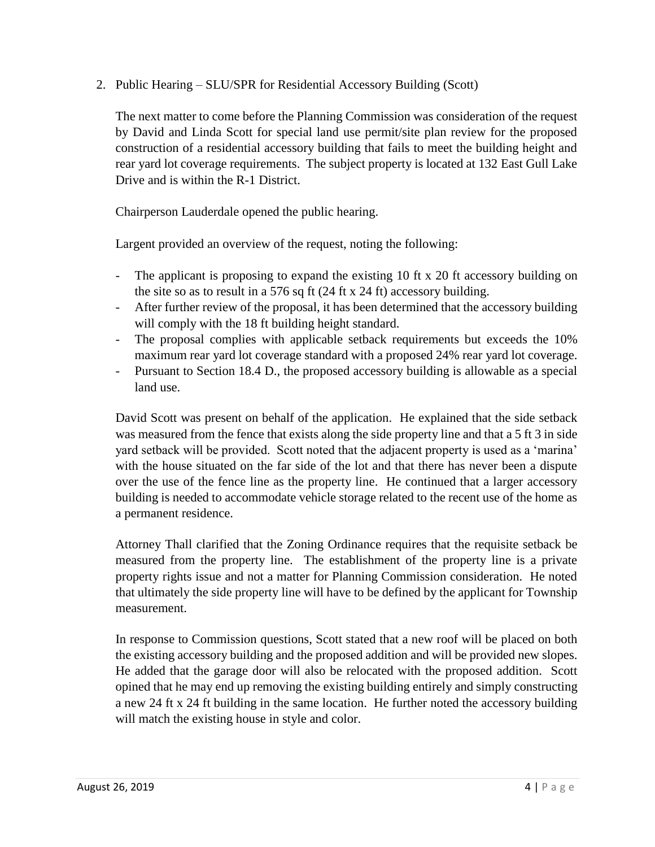2. Public Hearing – SLU/SPR for Residential Accessory Building (Scott)

The next matter to come before the Planning Commission was consideration of the request by David and Linda Scott for special land use permit/site plan review for the proposed construction of a residential accessory building that fails to meet the building height and rear yard lot coverage requirements. The subject property is located at 132 East Gull Lake Drive and is within the R-1 District.

Chairperson Lauderdale opened the public hearing.

Largent provided an overview of the request, noting the following:

- The applicant is proposing to expand the existing 10 ft x 20 ft accessory building on the site so as to result in a 576 sq ft (24 ft x 24 ft) accessory building.
- After further review of the proposal, it has been determined that the accessory building will comply with the 18 ft building height standard.
- The proposal complies with applicable setback requirements but exceeds the 10% maximum rear yard lot coverage standard with a proposed 24% rear yard lot coverage.
- Pursuant to Section 18.4 D., the proposed accessory building is allowable as a special land use.

David Scott was present on behalf of the application. He explained that the side setback was measured from the fence that exists along the side property line and that a 5 ft 3 in side yard setback will be provided. Scott noted that the adjacent property is used as a 'marina' with the house situated on the far side of the lot and that there has never been a dispute over the use of the fence line as the property line. He continued that a larger accessory building is needed to accommodate vehicle storage related to the recent use of the home as a permanent residence.

Attorney Thall clarified that the Zoning Ordinance requires that the requisite setback be measured from the property line. The establishment of the property line is a private property rights issue and not a matter for Planning Commission consideration. He noted that ultimately the side property line will have to be defined by the applicant for Township measurement.

In response to Commission questions, Scott stated that a new roof will be placed on both the existing accessory building and the proposed addition and will be provided new slopes. He added that the garage door will also be relocated with the proposed addition. Scott opined that he may end up removing the existing building entirely and simply constructing a new 24 ft x 24 ft building in the same location. He further noted the accessory building will match the existing house in style and color.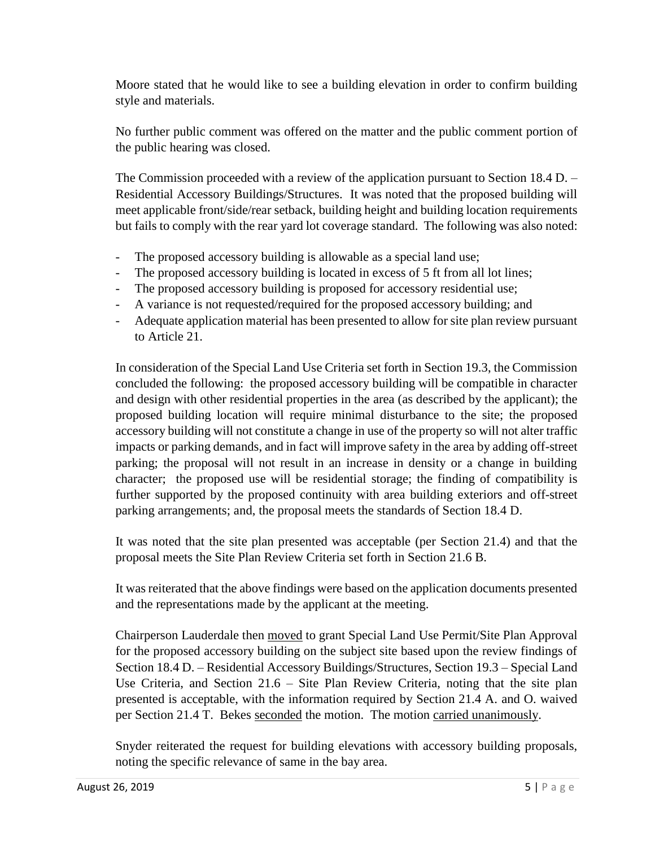Moore stated that he would like to see a building elevation in order to confirm building style and materials.

No further public comment was offered on the matter and the public comment portion of the public hearing was closed.

The Commission proceeded with a review of the application pursuant to Section 18.4 D. – Residential Accessory Buildings/Structures. It was noted that the proposed building will meet applicable front/side/rear setback, building height and building location requirements but fails to comply with the rear yard lot coverage standard. The following was also noted:

- The proposed accessory building is allowable as a special land use;
- The proposed accessory building is located in excess of 5 ft from all lot lines;
- The proposed accessory building is proposed for accessory residential use;
- A variance is not requested/required for the proposed accessory building; and
- Adequate application material has been presented to allow for site plan review pursuant to Article 21.

In consideration of the Special Land Use Criteria set forth in Section 19.3, the Commission concluded the following: the proposed accessory building will be compatible in character and design with other residential properties in the area (as described by the applicant); the proposed building location will require minimal disturbance to the site; the proposed accessory building will not constitute a change in use of the property so will not alter traffic impacts or parking demands, and in fact will improve safety in the area by adding off-street parking; the proposal will not result in an increase in density or a change in building character; the proposed use will be residential storage; the finding of compatibility is further supported by the proposed continuity with area building exteriors and off-street parking arrangements; and, the proposal meets the standards of Section 18.4 D.

It was noted that the site plan presented was acceptable (per Section 21.4) and that the proposal meets the Site Plan Review Criteria set forth in Section 21.6 B.

It was reiterated that the above findings were based on the application documents presented and the representations made by the applicant at the meeting.

Chairperson Lauderdale then moved to grant Special Land Use Permit/Site Plan Approval for the proposed accessory building on the subject site based upon the review findings of Section 18.4 D. – Residential Accessory Buildings/Structures, Section 19.3 – Special Land Use Criteria, and Section 21.6 – Site Plan Review Criteria, noting that the site plan presented is acceptable, with the information required by Section 21.4 A. and O. waived per Section 21.4 T. Bekes seconded the motion. The motion carried unanimously.

Snyder reiterated the request for building elevations with accessory building proposals, noting the specific relevance of same in the bay area.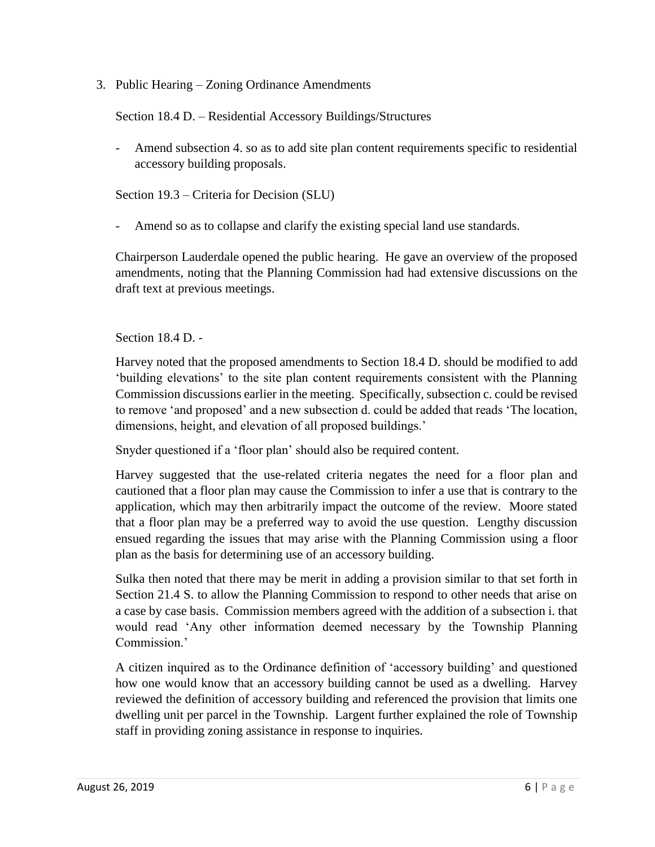3. Public Hearing – Zoning Ordinance Amendments

Section 18.4 D. – Residential Accessory Buildings/Structures

- Amend subsection 4. so as to add site plan content requirements specific to residential accessory building proposals.

Section 19.3 – Criteria for Decision (SLU)

Amend so as to collapse and clarify the existing special land use standards.

Chairperson Lauderdale opened the public hearing. He gave an overview of the proposed amendments, noting that the Planning Commission had had extensive discussions on the draft text at previous meetings.

Section 18.4 D. -

Harvey noted that the proposed amendments to Section 18.4 D. should be modified to add 'building elevations' to the site plan content requirements consistent with the Planning Commission discussions earlier in the meeting. Specifically, subsection c. could be revised to remove 'and proposed' and a new subsection d. could be added that reads 'The location, dimensions, height, and elevation of all proposed buildings.'

Snyder questioned if a 'floor plan' should also be required content.

Harvey suggested that the use-related criteria negates the need for a floor plan and cautioned that a floor plan may cause the Commission to infer a use that is contrary to the application, which may then arbitrarily impact the outcome of the review. Moore stated that a floor plan may be a preferred way to avoid the use question. Lengthy discussion ensued regarding the issues that may arise with the Planning Commission using a floor plan as the basis for determining use of an accessory building.

Sulka then noted that there may be merit in adding a provision similar to that set forth in Section 21.4 S. to allow the Planning Commission to respond to other needs that arise on a case by case basis. Commission members agreed with the addition of a subsection i. that would read 'Any other information deemed necessary by the Township Planning Commission.'

A citizen inquired as to the Ordinance definition of 'accessory building' and questioned how one would know that an accessory building cannot be used as a dwelling. Harvey reviewed the definition of accessory building and referenced the provision that limits one dwelling unit per parcel in the Township. Largent further explained the role of Township staff in providing zoning assistance in response to inquiries.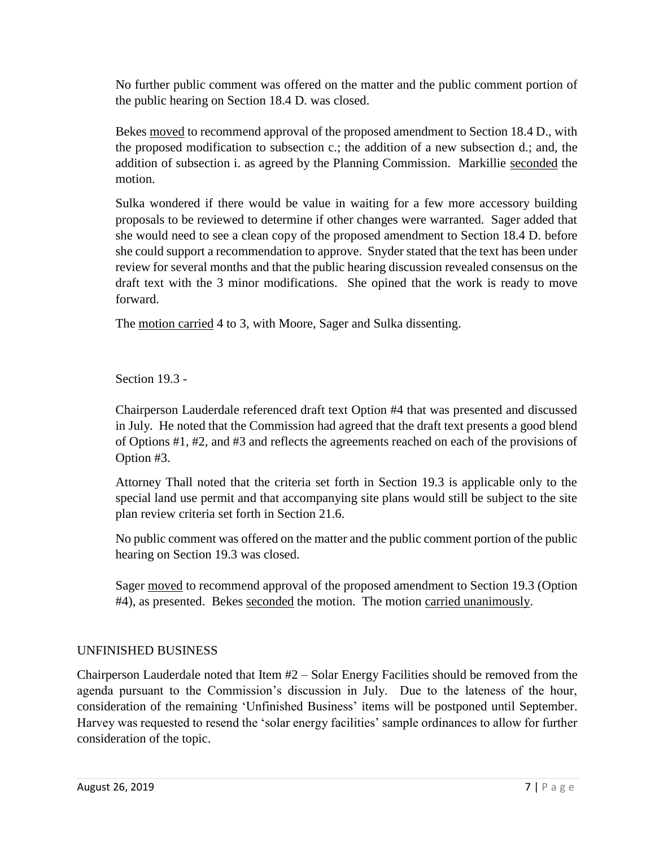No further public comment was offered on the matter and the public comment portion of the public hearing on Section 18.4 D. was closed.

Bekes moved to recommend approval of the proposed amendment to Section 18.4 D., with the proposed modification to subsection c.; the addition of a new subsection d.; and, the addition of subsection i. as agreed by the Planning Commission. Markillie seconded the motion.

Sulka wondered if there would be value in waiting for a few more accessory building proposals to be reviewed to determine if other changes were warranted. Sager added that she would need to see a clean copy of the proposed amendment to Section 18.4 D. before she could support a recommendation to approve. Snyder stated that the text has been under review for several months and that the public hearing discussion revealed consensus on the draft text with the 3 minor modifications. She opined that the work is ready to move forward.

The motion carried 4 to 3, with Moore, Sager and Sulka dissenting.

Section 19.3 -

Chairperson Lauderdale referenced draft text Option #4 that was presented and discussed in July. He noted that the Commission had agreed that the draft text presents a good blend of Options #1, #2, and #3 and reflects the agreements reached on each of the provisions of Option #3.

Attorney Thall noted that the criteria set forth in Section 19.3 is applicable only to the special land use permit and that accompanying site plans would still be subject to the site plan review criteria set forth in Section 21.6.

No public comment was offered on the matter and the public comment portion of the public hearing on Section 19.3 was closed.

Sager moved to recommend approval of the proposed amendment to Section 19.3 (Option #4), as presented. Bekes seconded the motion. The motion carried unanimously.

# UNFINISHED BUSINESS

Chairperson Lauderdale noted that Item #2 – Solar Energy Facilities should be removed from the agenda pursuant to the Commission's discussion in July. Due to the lateness of the hour, consideration of the remaining 'Unfinished Business' items will be postponed until September. Harvey was requested to resend the 'solar energy facilities' sample ordinances to allow for further consideration of the topic.